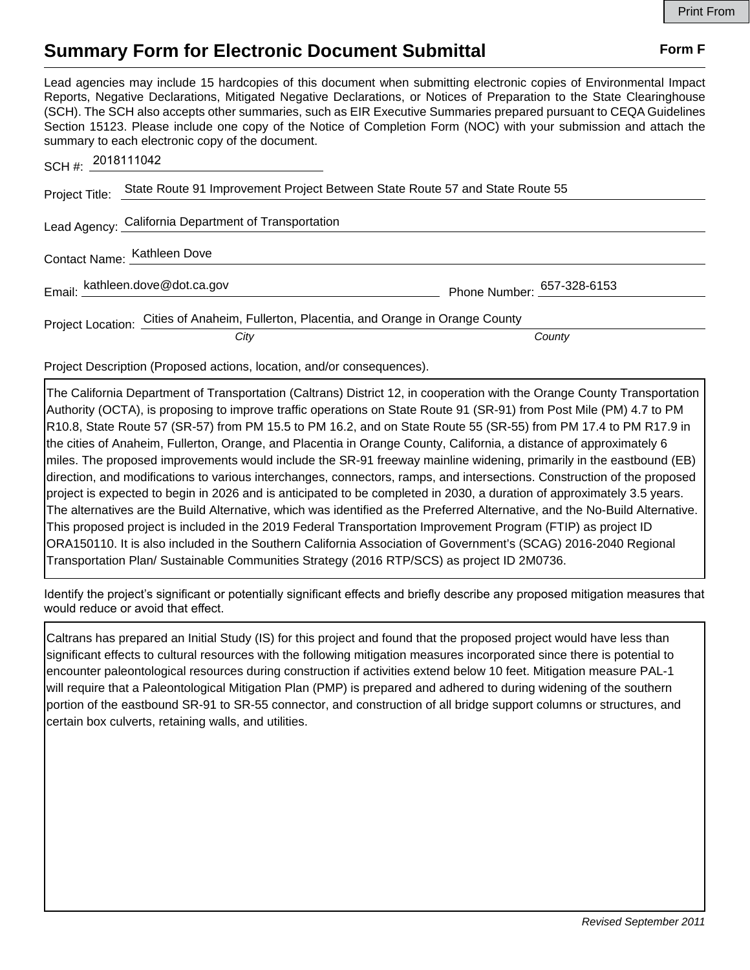## **Summary Form for Electronic Document Submittal Form F Form F**

Lead agencies may include 15 hardcopies of this document when submitting electronic copies of Environmental Impact Reports, Negative Declarations, Mitigated Negative Declarations, or Notices of Preparation to the State Clearinghouse (SCH). The SCH also accepts other summaries, such as EIR Executive Summaries prepared pursuant to CEQA Guidelines Section 15123. Please include one copy of the Notice of Completion Form (NOC) with your submission and attach the summary to each electronic copy of the document.

| SCH#: 2018111042            |                                                                                        |                            |
|-----------------------------|----------------------------------------------------------------------------------------|----------------------------|
| Project Title:              | State Route 91 Improvement Project Between State Route 57 and State Route 55           |                            |
|                             | Lead Agency: California Department of Transportation                                   |                            |
| Contact Name: Kathleen Dove |                                                                                        |                            |
|                             | Email: kathleen.dove@dot.ca.gov                                                        | Phone Number: 657-328-6153 |
|                             | Project Location: Cities of Anaheim, Fullerton, Placentia, and Orange in Orange County |                            |
|                             | City                                                                                   | County                     |

Project Description (Proposed actions, location, and/or consequences).

The California Department of Transportation (Caltrans) District 12, in cooperation with the Orange County Transportation Authority (OCTA), is proposing to improve traffic operations on State Route 91 (SR-91) from Post Mile (PM) 4.7 to PM R10.8, State Route 57 (SR-57) from PM 15.5 to PM 16.2, and on State Route 55 (SR-55) from PM 17.4 to PM R17.9 in the cities of Anaheim, Fullerton, Orange, and Placentia in Orange County, California, a distance of approximately 6 miles. The proposed improvements would include the SR-91 freeway mainline widening, primarily in the eastbound (EB) direction, and modifications to various interchanges, connectors, ramps, and intersections. Construction of the proposed project is expected to begin in 2026 and is anticipated to be completed in 2030, a duration of approximately 3.5 years. The alternatives are the Build Alternative, which was identified as the Preferred Alternative, and the No-Build Alternative. This proposed project is included in the 2019 Federal Transportation Improvement Program (FTIP) as project ID ORA150110. It is also included in the Southern California Association of Government's (SCAG) 2016-2040 Regional Transportation Plan/ Sustainable Communities Strategy (2016 RTP/SCS) as project ID 2M0736.

Identify the project's significant or potentially significant effects and briefly describe any proposed mitigation measures that would reduce or avoid that effect.

Caltrans has prepared an Initial Study (IS) for this project and found that the proposed project would have less than significant effects to cultural resources with the following mitigation measures incorporated since there is potential to encounter paleontological resources during construction if activities extend below 10 feet. Mitigation measure PAL-1 will require that a Paleontological Mitigation Plan (PMP) is prepared and adhered to during widening of the southern portion of the eastbound SR-91 to SR-55 connector, and construction of all bridge support columns or structures, and certain box culverts, retaining walls, and utilities.